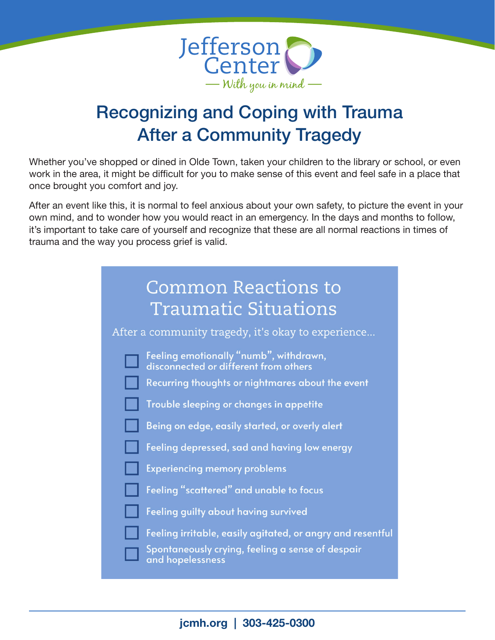

## Recognizing and Coping with Trauma After a Community Tragedy

Whether you've shopped or dined in Olde Town, taken your children to the library or school, or even work in the area, it might be difficult for you to make sense of this event and feel safe in a place that once brought you comfort and joy.

After an event like this, it is normal to feel anxious about your own safety, to picture the event in your own mind, and to wonder how you would react in an emergency. In the days and months to follow, it's important to take care of yourself and recognize that these are all normal reactions in times of trauma and the way you process grief is valid.

| <b>Common Reactions to</b><br><b>Traumatic Situations</b>                                                                           |
|-------------------------------------------------------------------------------------------------------------------------------------|
| After a community tragedy, it's okay to experience                                                                                  |
| Feeling emotionally "numb", withdrawn,<br>disconnected or different from others<br>Recurring thoughts or nightmares about the event |
| Trouble sleeping or changes in appetite                                                                                             |
| Being on edge, easily started, or overly alert                                                                                      |
| Feeling depressed, sad and having low energy                                                                                        |
| <b>Experiencing memory problems</b>                                                                                                 |
| Feeling "scattered" and unable to focus                                                                                             |
| Feeling guilty about having survived                                                                                                |
| Feeling irritable, easily agitated, or angry and resentful<br>Spontaneously crying, feeling a sense of despair<br>and hopelessness  |